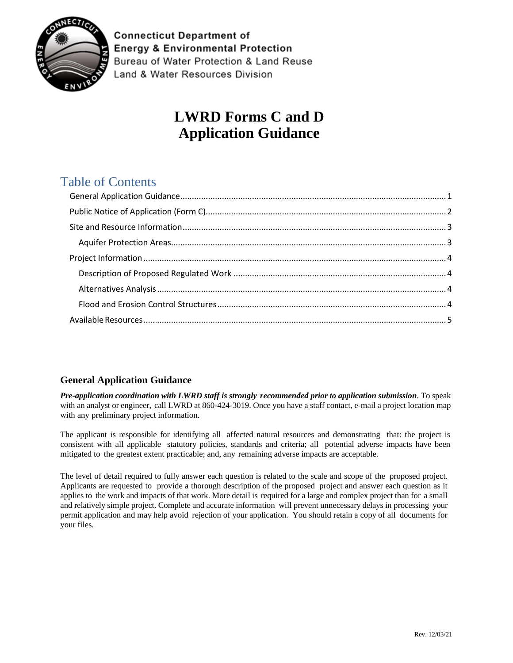

**Connecticut Department of Energy & Environmental Protection** Bureau of Water Protection & Land Reuse Land & Water Resources Division

# **LWRD Forms C and D Application Guidance**

## Table of Contents

### <span id="page-0-0"></span>**General Application Guidance**

*Pre-application coordination with LWRD staff is strongly recommended prior to application submission*. To speak with an analyst or engineer, call LWRD at 860-424-3019. Once you have a staff contact, e-mail a project location map with any preliminary project information.

The applicant is responsible for identifying all affected natural resources and demonstrating that: the project is consistent with all applicable statutory policies, standards and criteria; all potential adverse impacts have been mitigated to the greatest extent practicable; and, any remaining adverse impacts are acceptable.

The level of detail required to fully answer each question is related to the scale and scope of the proposed project. Applicants are requested to provide a thorough description of the proposed project and answer each question as it applies to the work and impacts of that work. More detail is required for a large and complex project than for a small and relatively simple project. Complete and accurate information will prevent unnecessary delays in processing your permit application and may help avoid rejection of your application. You should retain a copy of all documents for your files.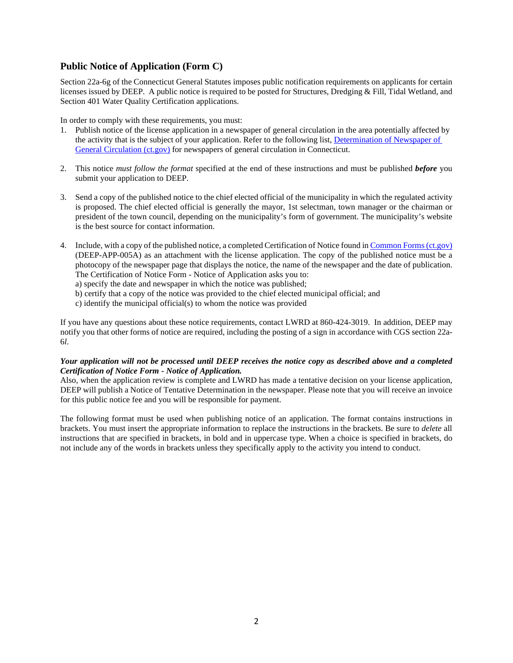#### <span id="page-1-0"></span>**Public Notice of Application (Form C)**

Section 22a-6g of the Connecticut General Statutes imposes public notification requirements on applicants for certain licenses issued by DEEP. A public notice is required to be posted for Structures, Dredging & Fill, Tidal Wetland, and Section 401 Water Quality Certification applications.

In order to comply with these requirements, you must:

- 1. Publish notice of the license application in a newspaper of general circulation in the area potentially affected by the activity that is the subject of your application. Refer to the following list, [Determination of Newspaper of](https://portal.ct.gov/-/media/DEEP/Permits_and_Licenses/newspaperspdf.pdf?la=en)  [General Circulation \(ct.gov\)](https://portal.ct.gov/-/media/DEEP/Permits_and_Licenses/newspaperspdf.pdf?la=en) for newspapers of general circulation in Connecticut.
- 2. This notice *must follow the format* specified at the end of these instructions and must be published *before* you submit your application to DEEP.
- 3. Send a copy of the published notice to the chief elected official of the municipality in which the regulated activity is proposed. The chief elected official is generally the mayor, 1st selectman, town manager or the chairman or president of the town council, depending on the municipality's form of government. The municipality's website is the best source for contact information.
- 4. Include, with a copy of the published notice, a completed Certification of Notice found i[n Common Forms \(ct.gov\)](https://portal.ct.gov/DEEP/Permits-and-Licenses/Common-Forms) (DEEP-APP-005A) as an attachment with the license application. The copy of the published notice must be a photocopy of the newspaper page that displays the notice, the name of the newspaper and the date of publication. The Certification of Notice Form - Notice of Application asks you to:

a) specify the date and newspaper in which the notice was published;

- b) certify that a copy of the notice was provided to the chief elected municipal official; and
- c) identify the municipal official(s) to whom the notice was provided

If you have any questions about these notice requirements, contact LWRD at 860-424-3019.In addition, DEEP may notify you that other forms of notice are required, including the posting of a sign in accordance with CGS section 22a-6*l*.

#### *Your application will not be processed until DEEP receives the notice copy as described above and a completed Certification of Notice Form - Notice of Application.*

Also, when the application review is complete and LWRD has made a tentative decision on your license application, DEEP will publish a Notice of Tentative Determination in the newspaper. Please note that you will receive an invoice for this public notice fee and you will be responsible for payment.

The following format must be used when publishing notice of an application. The format contains instructions in brackets. You must insert the appropriate information to replace the instructions in the brackets. Be sure to *delete* all instructions that are specified in brackets, in bold and in uppercase type. When a choice is specified in brackets, do not include any of the words in brackets unless they specifically apply to the activity you intend to conduct.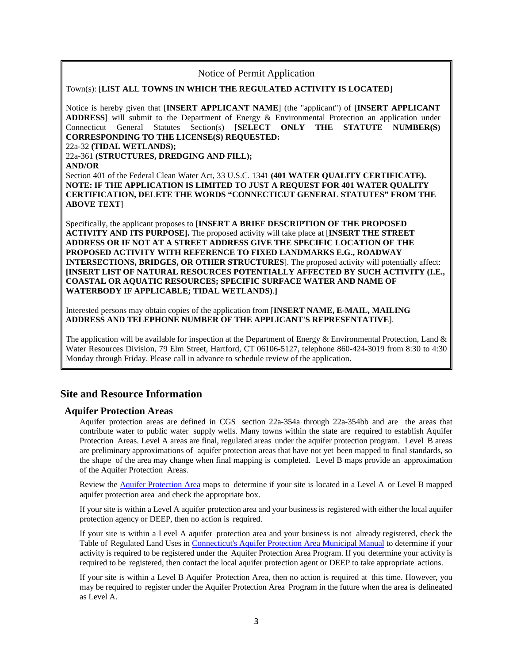#### Notice of Permit Application

#### Town(s): [**LIST ALL TOWNS IN WHICH THE REGULATED ACTIVITY IS LOCATED**]

Notice is hereby given that [**INSERT APPLICANT NAME**] (the "applicant") of [**INSERT APPLICANT ADDRESS**] will submit to the Department of Energy & Environmental Protection an application under Connecticut General Statutes Section(s) [**SELECT ONLY THE STATUTE NUMBER(S) CORRESPONDING TO THE LICENSE(S) REQUESTED:** 

#### 22a-32 **(TIDAL WETLANDS);**

22a-361 **(STRUCTURES, DREDGING AND FILL); AND/OR** 

Section 401 of the Federal Clean Water Act, 33 U.S.C. 1341 **(401 WATER QUALITY CERTIFICATE). NOTE: IF THE APPLICATION IS LIMITED TO JUST A REQUEST FOR 401 WATER QUALITY CERTIFICATION, DELETE THE WORDS "CONNECTICUT GENERAL STATUTES" FROM THE ABOVE TEXT**]

Specifically, the applicant proposes to [**INSERT A BRIEF DESCRIPTION OF THE PROPOSED ACTIVITY AND ITS PURPOSE].** The proposed activity will take place at [**INSERT THE STREET ADDRESS OR IF NOT AT A STREET ADDRESS GIVE THE SPECIFIC LOCATION OF THE PROPOSED ACTIVITY WITH REFERENCE TO FIXED LANDMARKS E.G., ROADWAY INTERSECTIONS, BRIDGES, OR OTHER STRUCTURES**]. The proposed activity will potentially affect: **[INSERT LIST OF NATURAL RESOURCES POTENTIALLY AFFECTED BY SUCH ACTIVITY (I.E., COASTAL OR AQUATIC RESOURCES; SPECIFIC SURFACE WATER AND NAME OF WATERBODY IF APPLICABLE; TIDAL WETLANDS)**.**]** 

Interested persons may obtain copies of the application from [**INSERT NAME, E-MAIL, MAILING ADDRESS AND TELEPHONE NUMBER OF THE APPLICANT'S REPRESENTATIVE**].

The application will be available for inspection at the Department of Energy & Environmental Protection, Land & Water Resources Division, 79 Elm Street, Hartford, CT 06106-5127, telephone 860-424-3019 from 8:30 to 4:30 Monday through Friday. Please call in advance to schedule review of the application.

#### <span id="page-2-0"></span>**Site and Resource Information**

#### <span id="page-2-1"></span>**Aquifer Protection Areas**

Aquifer protection areas are defined in CGS section 22a-354a through 22a-354bb and are the areas that contribute water to public water supply wells. Many towns within the state are required to establish Aquifer Protection Areas. Level A areas are final, regulated areas under the aquifer protection program. Level B areas are preliminary approximations of aquifer protection areas that have not yet been mapped to final standards, so the shape of the area may change when final mapping is completed. Level B maps provide an approximation of the Aquifer Protection Areas.

Review the **Aquifer [Protection](https://portal.ct.gov/DEEP/Aquifer-Protection-and-Groundwater/Aquifer-Protection/Aquifer-Protection-Area-Maps) Area** maps to determine if your site is located in a Level A or Level B mapped aquifer protection area and check the appropriate box.

If your site is within a Level A aquifer protection area and your business is registered with either the local aquifer protection agency or DEEP, then no action is required.

If your site is within a Level A aquifer protection area and your business is not already registered, check the [Table](http://www.ct.gov/deep/lib/deep/aquifer_protection/municipal_manual/14-appendices.pdf) of [Regulated](http://www.ct.gov/deep/lib/deep/aquifer_protection/municipal_manual/14-appendices.pdf) Land Uses in [Connecticut's Aquifer Protection Area Municipal Manual](https://portal.ct.gov/-/media/DEEP/aquifer_protection/municipal_manual/14Appendicespdf#page=2.pdf?la=en) to determine if your activity is required to be registered under the Aquifer Protection Area Program. If you determine your activity is required to be registered, then contact the local [aquifer](http://www.ct.gov/deep/lib/deep/aquifer_protection/ap_agency_directory.pdf) [protection](http://www.ct.gov/deep/lib/deep/aquifer_protection/ap_agency_directory.pdf) agent or DEEP to take appropriate actions.

If your site is within a Level B Aquifer Protection Area, then no action is required at this time. However, you may be required to register under the Aquifer Protection Area Program in the future when the area is delineated as Level A.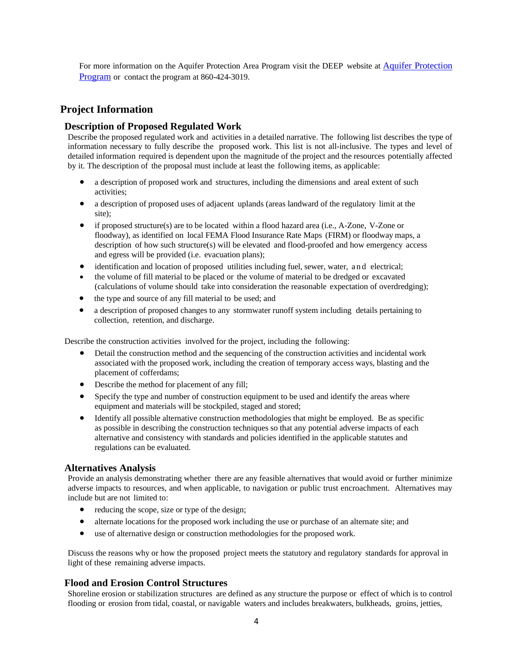For more information on the Aquifer Protection Area Program visit the DEEP website at [Aquifer Protection](https://portal.ct.gov/DEEP/Aquifer-Protection-and-Groundwater/Aquifer-Protection/Aquifer-Protection-Program)  [Program](https://portal.ct.gov/DEEP/Aquifer-Protection-and-Groundwater/Aquifer-Protection/Aquifer-Protection-Program) or contact the program at 860-424-3019.

#### <span id="page-3-0"></span>**Project Information**

#### <span id="page-3-1"></span>**Description of Proposed Regulated Work**

Describe the proposed regulated work and activities in a detailed narrative. The following list describes the type of information necessary to fully describe the proposed work. This list is not all-inclusive. The types and level of detailed information required is dependent upon the magnitude of the project and the resources potentially affected by it. The description of the proposal must include at least the following items, as applicable:

- a description of proposed work and structures, including the dimensions and areal extent of such activities;
- a description of proposed uses of adjacent uplands (areas landward of the regulatory limit at the site);
- if proposed structure(s) are to be located within a flood hazard area (i.e., A-Zone, V-Zone or floodway), as identified on local FEMA Flood Insurance Rate Maps (FIRM) or floodway maps, a description of how such structure(s) will be elevated and flood-proofed and how emergency access and egress will be provided (i.e. evacuation plans);
- identification and location of proposed utilities including fuel, sewer, water, and electrical;
- the volume of fill material to be placed or the volume of material to be dredged or excavated (calculations of volume should take into consideration the reasonable expectation of overdredging);
- the type and source of any fill material to be used; and
- a description of proposed changes to any stormwater runoff system including details pertaining to collection, retention, and discharge.

Describe the construction activities involved for the project, including the following:

- Detail the construction method and the sequencing of the construction activities and incidental work associated with the proposed work, including the creation of temporary access ways, blasting and the placement of cofferdams;
- Describe the method for placement of any fill;
- Specify the type and number of construction equipment to be used and identify the areas where equipment and materials will be stockpiled, staged and stored;
- Identify all possible alternative construction methodologies that might be employed. Be as specific as possible in describing the construction techniques so that any potential adverse impacts of each alternative and consistency with standards and policies identified in the applicable statutes and regulations can be evaluated.

#### <span id="page-3-2"></span>**Alternatives Analysis**

Provide an analysis demonstrating whether there are any feasible alternatives that would avoid or further minimize adverse impacts to resources, and when applicable, to navigation or public trust encroachment. Alternatives may include but are not limited to:

- reducing the scope, size or type of the design;
- alternate locations for the proposed work including the use or purchase of an alternate site; and
- use of alternative design or construction methodologies for the proposed work.

Discuss the reasons why or how the proposed project meets the statutory and regulatory standards for approval in light of these remaining adverse impacts.

#### <span id="page-3-3"></span>**Flood and Erosion Control Structures**

Shoreline erosion or stabilization structures are defined as any structure the purpose or effect of which is to control flooding or erosion from tidal, coastal, or navigable waters and includes breakwaters, bulkheads, groins, jetties,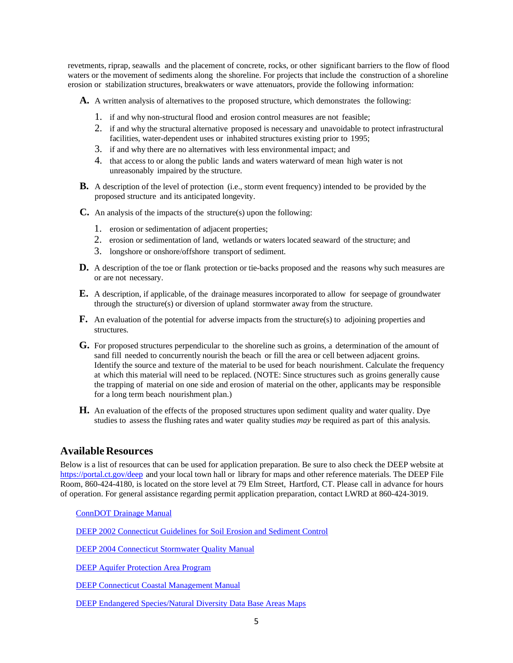revetments, riprap, seawalls and the placement of concrete, rocks, or other significant barriers to the flow of flood waters or the movement of sediments along the shoreline. For projects that include the construction of a shoreline erosion or stabilization structures, breakwaters or wave attenuators, provide the following information:

**A.** A written analysis of alternatives to the proposed structure, which demonstrates the following:

- 1. if and why non-structural flood and erosion control measures are not feasible;
- 2. if and why the structural alternative proposed is necessary and unavoidable to protect infrastructural facilities, water-dependent uses or inhabited structures existing prior to 1995;
- 3. if and why there are no alternatives with less environmental impact; and
- 4. that access to or along the public lands and waters waterward of mean high water is not unreasonably impaired by the structure.
- **B.** A description of the level of protection (i.e., storm event frequency) intended to be provided by the proposed structure and its anticipated longevity.
- **C.** An analysis of the impacts of the structure(s) upon the following:
	- 1. erosion or sedimentation of adjacent properties;
	- 2. erosion or sedimentation of land, wetlands or waters located seaward of the structure; and
	- 3. longshore or onshore/offshore transport of sediment.
- **D.** A description of the toe or flank protection or tie-backs proposed and the reasons why such measures are or are not necessary.
- **E.** A description, if applicable, of the drainage measures incorporated to allow for seepage of groundwater through the structure(s) or diversion of upland stormwater away from the structure.
- **F.** An evaluation of the potential for adverse impacts from the structure(s) to adjoining properties and structures.
- **G.** For proposed structures perpendicular to the shoreline such as groins, a determination of the amount of sand fill needed to concurrently nourish the beach or fill the area or cell between adjacent groins. Identify the source and texture of the material to be used for beach nourishment. Calculate the frequency at which this material will need to be replaced. (NOTE: Since structures such as groins generally cause the trapping of material on one side and erosion of material on the other, applicants may be responsible for a long term beach nourishment plan.)
- **H.** An evaluation of the effects of the proposed structures upon sediment quality and water quality. Dye studies to assess the flushing rates and water quality studies *may* be required as part of this analysis.

#### <span id="page-4-0"></span>**Available Resources**

Below is a list of resources that can be used for application preparation. Be sure to also check the DEEP website at <https://portal.ct.gov/deep> and your local town hall or library for maps and other reference materials. The DEEP File Room, 860-424-4180, is located on the store level at 79 Elm Street, Hartford, CT. Please call in advance for hours of operation. For general assistance regarding permit application preparation, contact LWRD at 860-424-3019.

[ConnDOT Drainage Manual](https://portal.ct.gov/DOT/Hydraulics-and-Drainage/Drainage-Manual)

[DEEP 2002 Connecticut Guidelines for Soil Erosion and Sediment Control](https://portal.ct.gov/DEEP/Water/Soil-Erosion-and-Sediment-Control-Guidelines/Guidelines-for-Soil-Erosion-and-Sediment-Control)

[DEEP 2004 Connecticut Stormwater Quality Manual](https://portal.ct.gov/DEEP/Water-Regulating-and-Discharges/Stormwater/Stormwater-Manual)

[DEEP Aquifer Protection Area Program](https://portal.ct.gov/DEEP/Aquifer-Protection-and-Groundwater/Aquifer-Protection/Aquifer-Protection-Program)

[DEEP Connecticut Coastal Management Manual](https://portal.ct.gov/DEEP/Coastal-Resources/Coastal-Management/Connecticut-Coastal-Management-Manual)

[DEEP Endangered Species/Natural Diversity Data Base Areas Maps](https://www.depdata.ct.gov/naturalresources/endangeredspecies/nddbpdfs.asp)